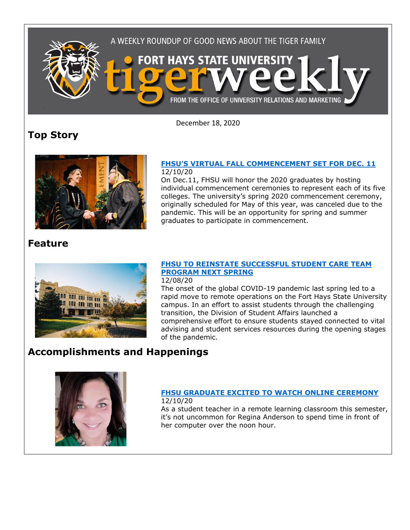

December 18, 2020

## **Top Story**



### **[FHSU'S VIRTUAL FALL COMMENCEMENT SET FOR DEC. 11](https://www.fhsu.edu/news/2020/12/fhsus-virtual-fall-commencement-set-for-dec.-11)** 12/10/20

On Dec.11, FHSU will honor the 2020 graduates by hosting individual commencement ceremonies to represent each of its five colleges. The university's spring 2020 commencement ceremony, originally scheduled for May of this year, was canceled due to the pandemic. This will be an opportunity for spring and summer graduates to participate in commencement.

### **Feature**



### **[FHSU TO REINSTATE SUCCESSFUL STUDENT CARE TEAM](https://www.fhsu.edu/news/2020/12/fhsu-to-reinstate-successful-student-care-team-program-next-spring)  [PROGRAM NEXT SPRING](https://www.fhsu.edu/news/2020/12/fhsu-to-reinstate-successful-student-care-team-program-next-spring)**

12/08/20

The onset of the global COVID-19 pandemic last spring led to a rapid move to remote operations on the Fort Hays State University campus. In an effort to assist students through the challenging transition, the Division of Student Affairs launched a comprehensive effort to ensure students stayed connected to vital advising and student services resources during the opening stages of the pandemic.

# **Accomplishments and Happenings**



#### **[FHSU GRADUATE EXCITED TO WATCH ONLINE CEREMONY](https://www.fhsu.edu/news/2020/12/fhsu-graduate-excited-to-watch-online-ceremony)** 12/10/20

As a student teacher in a remote learning classroom this semester, it's not uncommon for Regina Anderson to spend time in front of her computer over the noon hour.